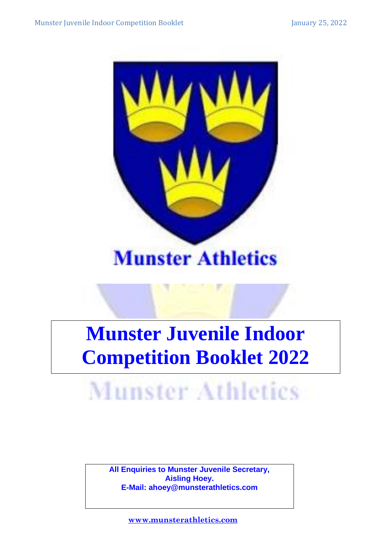

### **Munster Athletics**

### **Munster Juvenile Indoor Competition Booklet 2022**

## Munster Athletics

**All Enquiries to Munster Juvenile Secretary, Aisling Hoey. E-Mail: ahoey@munsterathletics.com**

1  **<www.munsterathletics.com>**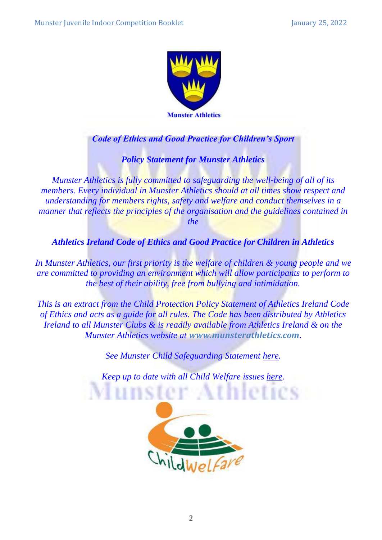

#### *Code of Ethics and Good Practice for Children's Sport*

*Policy Statement for Munster Athletics*

*Munster Athletics is fully committed to safeguarding the well-being of all of its members. Every individual in Munster Athletics should at all times show respect and understanding for members rights, safety and welfare and conduct themselves in a manner that reflects the principles of the organisation and the guidelines contained in* 

*the*

*Athletics Ireland Code of Ethics and Good Practice for Children in Athletics*

*In Munster Athletics, our first priority is the welfare of children & young people and we are committed to providing an environment which will allow participants to perform to the best of their ability, free from bullying and intimidation.*

*This is an extract from the Child Protection Policy Statement of Athletics Ireland Code of Ethics and acts as a guide for all rules. The Code has been distributed by Athletics Ireland to all Munster Clubs & is readily available from Athletics Ireland & on the Munster Athletics website at [www.munsterathletics.com](http://www.munsterathletics.com/).*

*See Munster Child Safeguarding Statement [here.](http://www.munsterathletics.com/forms/2022/Policies/Munster%20Athletics%20Child%20Safeguarding%20Statement%202022.pdf)* 

*Keep up to date with all Child Welfare issues [here.](https://www.athleticsireland.ie/juvenile/child-welfare/)*

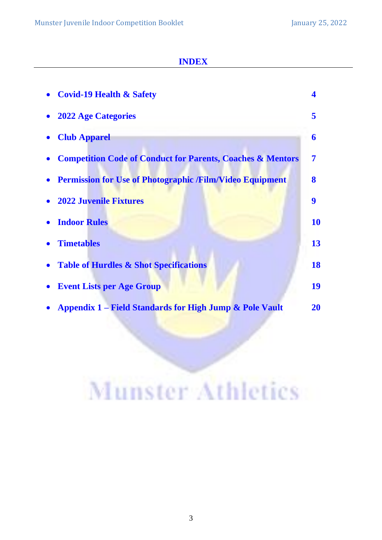#### **INDEX**

| <b>Covid-19 Health &amp; Safety</b>                                   |           |
|-----------------------------------------------------------------------|-----------|
| <b>2022 Age Categories</b>                                            | 5         |
| <b>Club Apparel</b>                                                   | 6         |
| <b>Competition Code of Conduct for Parents, Coaches &amp; Mentors</b> | 7         |
| <b>Permission for Use of Photographic /Film/Video Equipment</b>       | 8         |
| <b>2022 Juvenile Fixtures</b>                                         | 9         |
| <b>Indoor Rules</b>                                                   | 10        |
| <b>Timetables</b>                                                     | 13        |
| <b>Table of Hurdles &amp; Shot Specifications</b>                     | 18        |
| <b>Event Lists per Age Group</b>                                      | 19        |
| <b>Appendix 1 – Field Standards for High Jump &amp; Pole Vault</b>    | <b>20</b> |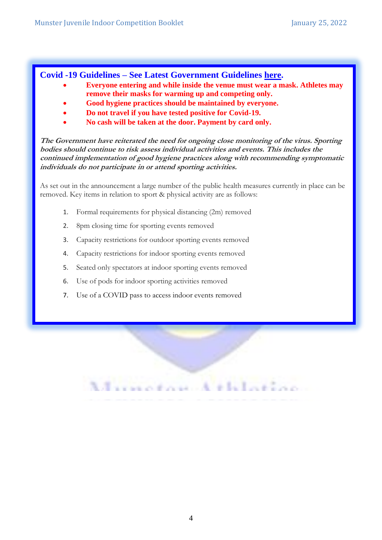#### **Covid -19 Guidelines – See Latest Government Guidelines [here.](https://www.gov.ie/en/press-release/0fc0d-government-announces-that-most-of-the-public-health-measures-currently-in-place-can-be-removed/)**

- **Everyone entering and while inside the venue must wear a mask. Athletes may remove their masks for warming up and competing only.**
- **Good hygiene practices should be maintained by everyone.**
- **Do not travel if you have tested positive for Covid-19.**
- **No cash will be taken at the door. Payment by card only.**

**The Government have reiterated the need for ongoing close monitoring of the virus. Sporting bodies should continue to risk assess individual activities and events. This includes the continued implementation of good hygiene practices along with recommending symptomatic individuals do not participate in or attend sporting activities.**

As set out in the announcement a large number of the public health measures currently in place can be removed. Key items in relation to sport & physical activity are as follows:

- 1. Formal requirements for physical distancing (2m) removed
- 2. 8pm closing time for sporting events removed
- 3. Capacity restrictions for outdoor sporting events removed
- 4. Capacity restrictions for indoor sporting events removed
- 5. Seated only spectators at indoor sporting events removed
- 6. Use of pods for indoor sporting activities removed
- 7. Use of a COVID pass to access indoor events removed

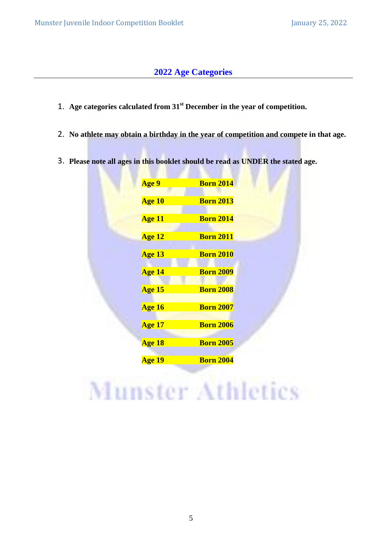#### **2022 Age Categories**

- 1. **Age categories calculated from 31 st December in the year of competition.**
- 2. **No athlete may obtain a birthday in the year of competition and compete in that age.**
- 3. **Please note all ages in this booklet should be read as UNDER the stated age.**

| Age 9         | <b>Born 2014</b> |
|---------------|------------------|
| Age 10        | <b>Born 2013</b> |
| <b>Age 11</b> | <b>Born 2014</b> |
| Age 12        | <b>Born 2011</b> |
| Age 13        | <b>Born 2010</b> |
| Age 14        | <b>Born 2009</b> |
| Age 15        | <b>Born 2008</b> |
| Age 16        | <b>Born 2007</b> |
| <b>Age 17</b> | <b>Born 2006</b> |
| Age 18        | <b>Born 2005</b> |
| <b>Age 19</b> | <b>Born 2004</b> |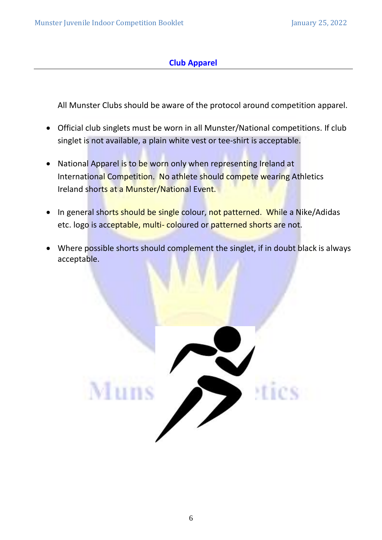#### **Club Apparel**

All Munster Clubs should be aware of the protocol around competition apparel.

- Official club singlets must be worn in all Munster/National competitions. If club singlet is not available, a plain white vest or tee-shirt is acceptable.
- National Apparel is to be worn only when representing Ireland at International Competition. No athlete should compete wearing Athletics Ireland shorts at a Munster/National Event.
- In general shorts should be single colour, not patterned. While a Nike/Adidas etc. logo is acceptable, multi- coloured or patterned shorts are not.
- Where possible shorts should complement the singlet, if in doubt black is always acceptable.

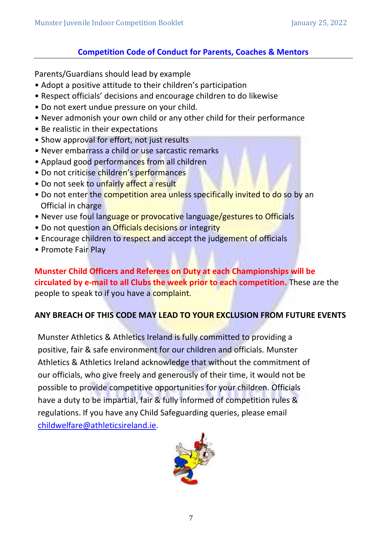#### **Competition Code of Conduct for Parents, Coaches & Mentors**

Parents/Guardians should lead by example

- Adopt a positive attitude to their children's participation
- Respect officials' decisions and encourage children to do likewise
- Do not exert undue pressure on your child.
- Never admonish your own child or any other child for their performance
- Be realistic in their expectations
- Show approval for effort, not just results
- Never embarrass a child or use sarcastic remarks
- Applaud good performances from all children
- Do not criticise children's performances
- Do not seek to unfairly affect a result
- Do not enter the competition area unless specifically invited to do so by an Official in charge
- Never use foul language or provocative language/gestures to Officials
- Do not question an Officials decisions or integrity
- Encourage children to respect and accept the judgement of officials
- Promote Fair Play

**Munster Child Officers and Referees on Duty at each Championships will be circulated by e-mail to all Clubs the week prior to each competition.** These are the people to speak to if you have a complaint.

#### **ANY BREACH OF THIS CODE MAY LEAD TO YOUR EXCLUSION FROM FUTURE EVENTS**

Munster Athletics & Athletics Ireland is fully committed to providing a positive, fair & safe environment for our children and officials. Munster Athletics & Athletics Ireland acknowledge that without the commitment of our officials, who give freely and generously of their time, it would not be possible to provide competitive opportunities for your children. Officials have a duty to be impartial, fair & fully informed of competition rules & regulations. If you have any Child Safeguarding queries, please email [childwelfare@athleticsireland.ie.](mailto:childwelfare@athleticsireland.ie)

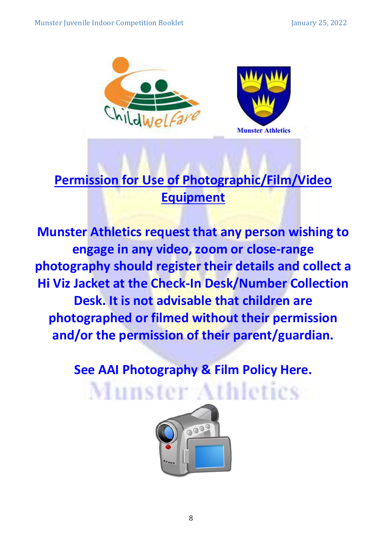

### **Permission for Use of Photographic/Film/Video Equipment**

**Munster Athletics request that any person wishing to engage in any video, zoom or close-range photography should register their details and collect a Hi Viz Jacket at the Check-In Desk/Number Collection Desk. It is not advisable that children are photographed or filmed without their permission and/or the permission of their parent/guardian.**

**See AAI Photography & Film Policy [Here.](http://www.munsterathletics.com/forms/2022/Policies/AAI_Filming_and_Photography_Guideline_021019.pdf)**

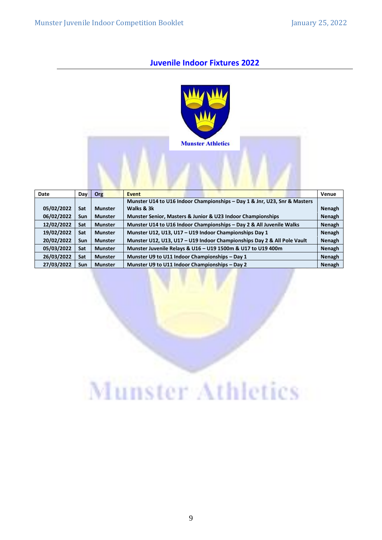#### **Juvenile Indoor Fixtures 2022**



| Date       | <b>Day</b> | Org            | <b>Event</b>                                                              | Venue         |
|------------|------------|----------------|---------------------------------------------------------------------------|---------------|
|            |            |                | Munster U14 to U16 Indoor Championships - Day 1 & Jnr, U23, Snr & Masters |               |
| 05/02/2022 | <b>Sat</b> | <b>Munster</b> | Walks & 3k                                                                | <b>Nenagh</b> |
| 06/02/2022 | <b>Sun</b> | <b>Munster</b> | Munster Senior, Masters & Junior & U23 Indoor Championships               | <b>Nenagh</b> |
| 12/02/2022 | Sat        | <b>Munster</b> | Munster U14 to U16 Indoor Championships - Day 2 & All Juvenile Walks      | <b>Nenagh</b> |
| 19/02/2022 | Sat        | <b>Munster</b> | Munster U12, U13, U17 - U19 Indoor Championships Day 1                    | <b>Nenagh</b> |
| 20/02/2022 | <b>Sun</b> | <b>Munster</b> | Munster U12, U13, U17 - U19 Indoor Championships Day 2 & All Pole Vault   | <b>Nenagh</b> |
| 05/03/2022 | Sat        | <b>Munster</b> | Munster Juvenile Relays & U16 - U19 1500m & U17 to U19 400m               | <b>Nenagh</b> |
| 26/03/2022 | Sat        | <b>Munster</b> | Munster U9 to U11 Indoor Championships - Day 1                            | <b>Nenagh</b> |
| 27/03/2022 | <b>Sun</b> | <b>Munster</b> | Munster U9 to U11 Indoor Championships - Day 2                            | Nenagh        |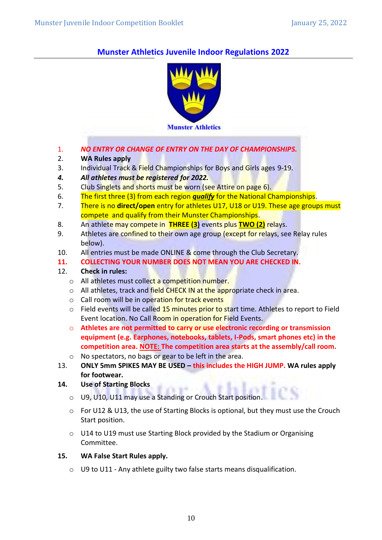#### **Munster Athletics Juvenile Indoor Regulations 2022**



- 1. *NO ENTRY OR CHANGE OF ENTRY ON THE DAY OF CHAMPIONSHIPS.*
- 2. **WA Rules apply**
- 3. Individual Track & Field Championships for Boys and Girls ages 9-19.
- *4. All athletes must be registered for 2022.*
- 5. Club Singlets and shorts must be worn (see Attire on page 6).
- 6. The first three (3) from each region *qualify* for the National Championships.
- 7. There is no **direct/open** entry for athletes U17, U18 or U19. These age groups must compete and qualify from their Munster Championships.
- 8. An athlete may compete in **THREE (3)** events plus **TWO (2)** relays.
- 9. Athletes are confined to their own age group (except for relays, see Relay rules below).
- 10. All entries must be made ONLINE & come through the Club Secretary.
- **11. COLLECTING YOUR NUMBER DOES NOT MEAN YOU ARE CHECKED IN.**

#### 12. **Check in rules:**

- o All athletes must collect a competition number.
- o All athletes, track and field CHECK IN at the appropriate check in area.
- o Call room will be in operation for track events
- $\circ$  Field events will be called 15 minutes prior to start time. Athletes to report to Field Event location. No Call Room in operation for Field Events.
- o **Athletes are not permitted to carry or use electronic recording or transmission equipment (e.g. Earphones, notebooks, tablets, I-Pods, smart phones etc) in the competition area. NOTE: The competition area starts at the assembly/call room.**
- o No spectators, no bags or gear to be left in the area.
- 13. **ONLY 5mm SPIKES MAY BE USED – this includes the HIGH JUMP. WA rules apply for footwear.**
- **14. Use of Starting Blocks**
	- o U9, U10, U11 may use a Standing or Crouch Start position.
	- o For U12 & U13, the use of Starting Blocks is optional, but they must use the Crouch Start position.
	- $\circ$  U14 to U19 must use Starting Block provided by the Stadium or Organising Committee.
- **15. WA False Start Rules apply.** 
	- o U9 to U11 Any athlete guilty two false starts means disqualification.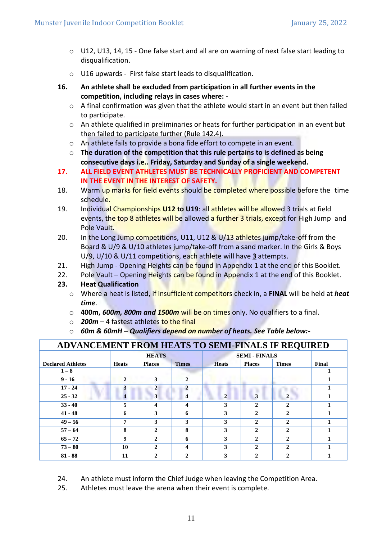- o U12, U13, 14, 15 One false start and all are on warning of next false start leading to disqualification.
- o U16 upwards First false start leads to disqualification.
- **16. An athlete shall be excluded from participation in all further events in the competition, including relays in cases where: -**
	- $\circ$  A final confirmation was given that the athlete would start in an event but then failed to participate.
	- o An athlete qualified in preliminaries or heats for further participation in an event but then failed to participate further (Rule 142.4).
	- o An athlete fails to provide a bona fide effort to compete in an event.
	- o **The duration of the competition that this rule pertains to is defined as being consecutive days i.e.. Friday, Saturday and Sunday of a single weekend.**
- **17. ALL FIELD EVENT ATHLETES MUST BE TECHNICALLY PROFICIENT AND COMPETENT IN THE EVENT IN THE INTEREST OF SAFETY.**
- 18. Warm up marks for field events should be completed where possible before the time schedule.
- 19. Individual Championships **U12 to U19**: all athletes will be allowed 3 trials at field events, the top 8 athletes will be allowed a further 3 trials, except for High Jump and Pole Vault.
- 20. In the Long Jump competitions, U11, U12 & U/13 athletes jump/take-off from the Board & U/9 & U/10 athletes jump/take-off from a sand marker. In the Girls & Boys U/9, U/10 & U/11 competitions, each athlete will have **3** attempts.
- 21. High Jump Opening Heights can be found in Appendix 1 at the end of this Booklet.
- 22. Pole Vault Opening Heights can be found in Appendix 1 at the end of this Booklet.

#### **23. Heat Qualification**

- o Where a heat is listed, if insufficient competitors check in, a **FINAL** will be held at *heat time*.
- o **400m,** *600m, 800m and 1500m* will be on times only. No qualifiers to a final.
- o *200m*  4 fastest athletes to the final
- o *60m & 60mH – Qualifiers depend on number of heats. See Table below:-*

| ADVANCEMENT FROM HEATS TO SEMI-FINALS IF REQUIRED |              |               |                         |                |                      |                |       |  |
|---------------------------------------------------|--------------|---------------|-------------------------|----------------|----------------------|----------------|-------|--|
|                                                   |              | <b>HEATS</b>  |                         |                | <b>SEMI - FINALS</b> |                |       |  |
| <b>Declared Athletes</b>                          | <b>Heats</b> | <b>Places</b> | <b>Times</b>            | <b>Heats</b>   | <b>Places</b>        | <b>Times</b>   | Final |  |
| $1 - 8$                                           |              |               |                         |                |                      |                |       |  |
| $9 - 16$                                          | $\mathbf{2}$ | 3             | $\mathbf{2}$            |                |                      |                |       |  |
| $17 - 24$                                         | 3            | 2             | $\overline{2}$          |                |                      |                |       |  |
| $25 - 32$                                         | 4            | 3             | $\overline{\mathbf{4}}$ | $\overline{2}$ | 3                    | $\overline{2}$ |       |  |
| $33 - 40$                                         | 5            | 4             | 4                       | 3              | $\mathbf{2}$         | 2              |       |  |
| $41 - 48$                                         | 6            | 3             | 6                       | 3              | $\mathbf{2}$         | $\mathbf{2}$   |       |  |
| $49 - 56$                                         | 7            | 3             | 3                       | 3              | $\overline{2}$       | $\mathbf{2}$   |       |  |
| $57 - 64$                                         | 8            | $\mathbf{2}$  | 8                       | 3              | $\mathbf{2}$         | $\mathbf{2}$   |       |  |
| $65 - 72$                                         | 9            | $\mathbf{2}$  | 6                       | 3              | $\mathbf{2}$         | $\mathbf{2}$   |       |  |
| $73 - 80$                                         | 10           | $\mathbf{2}$  | 4                       | 3              | $\mathbf{2}$         | $\mathbf{2}$   |       |  |
| $81 - 88$                                         | 11           | $\mathbf{2}$  | $\mathbf{2}$            | 3              | $\mathbf{2}$         | $\mathfrak{p}$ |       |  |

24. An athlete must inform the Chief Judge when leaving the Competition Area.

25. Athletes must leave the arena when their event is complete.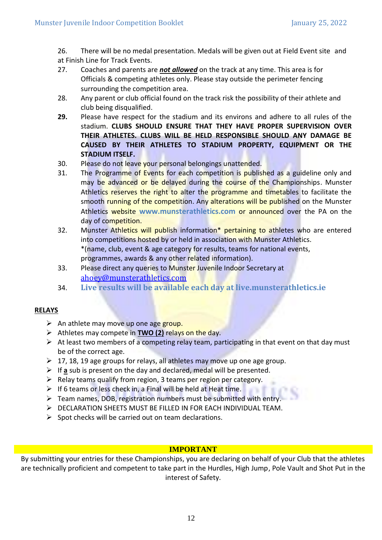26. There will be no medal presentation. Medals will be given out at Field Event site and at Finish Line for Track Events.

- 27. Coaches and parents are *not allowed* on the track at any time. This area is for Officials & competing athletes only. Please stay outside the perimeter fencing surrounding the competition area.
- 28. Any parent or club official found on the track risk the possibility of their athlete and club being disqualified.
- **29.** Please have respect for the stadium and its environs and adhere to all rules of the stadium. **CLUBS SHOULD ENSURE THAT THEY HAVE PROPER SUPERVISION OVER THEIR ATHLETES. CLUBS WILL BE HELD RESPONSIBLE SHOULD ANY DAMAGE BE CAUSED BY THEIR ATHLETES TO STADIUM PROPERTY, EQUIPMENT OR THE STADIUM ITSELF.**
- 30. Please do not leave your personal belongings unattended.
- 31. The Programme of Events for each competition is published as a guideline only and may be advanced or be delayed during the course of the Championships. Munster Athletics reserves the right to alter the programme and timetables to facilitate the smooth running of the competition. Any alterations will be published on the Munster Athletics website **[www.munsterathletics.com](http://www.munsterathletics.com/)** or announced over the PA on the day of competition.
- 32. Munster Athletics will publish information\* pertaining to athletes who are entered into competitions hosted by or held in association with Munster Athletics. \*(name, club, event & age category for results, teams for national events, programmes, awards & any other related information).
- 33. Please direct any queries to Munster Juvenile Indoor Secretary at [ahoey@munsterathletics.com](mailto:ahoey@munsterathletics.com)
- 34. **Live results will be available each day at live.munsterathletics.ie**

#### **RELAYS**

- **►** An athlete may move up one age group.
- ➢ Athletes may compete in **TWO (2)** relays on the day.
- $\triangleright$  At least two members of a competing relay team, participating in that event on that day must be of the correct age.

an t

- ➢ 17, 18, 19 age groups for relays, all athletes may move up one age group.
- ➢ If **a** sub is present on the day and declared, medal will be presented.
- $\triangleright$  Relay teams qualify from region, 3 teams per region per category.
- $\triangleright$  If 6 teams or less check in, a Final will be held at Heat time.
- ➢ Team names, DOB, registration numbers must be submitted with entry.
- ➢ DECLARATION SHEETS MUST BE FILLED IN FOR EACH INDIVIDUAL TEAM.
- $\triangleright$  Spot checks will be carried out on team declarations.

#### **IMPORTANT**

By submitting your entries for these Championships, you are declaring on behalf of your Club that the athletes are technically proficient and competent to take part in the Hurdles, High Jump, Pole Vault and Shot Put in the interest of Safety.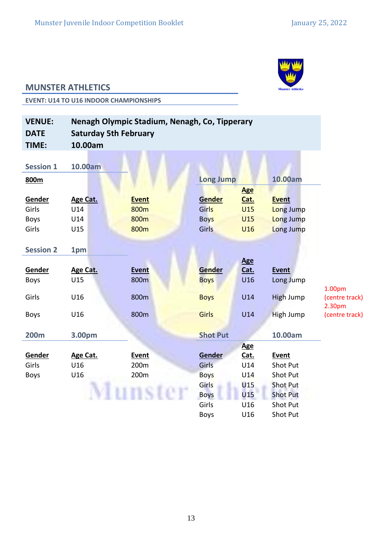

#### **MUNSTER ATHLETICS**

**EVENT: U14 TO U16 INDOOR CHAMPIONSHIPS**

| <b>VENUE:</b><br><b>DATE</b> | <b>Saturday 5th February</b> | Nenagh Olympic Stadium, Nenagh, Co, Tipperary |                  |            |                  |                          |
|------------------------------|------------------------------|-----------------------------------------------|------------------|------------|------------------|--------------------------|
| TIME:                        | 10.00am                      |                                               |                  |            |                  |                          |
|                              |                              |                                               |                  |            |                  |                          |
| <b>Session 1</b>             | 10.00am                      |                                               |                  |            |                  |                          |
| 800m                         |                              |                                               | <b>Long Jump</b> |            | 10.00am          |                          |
|                              |                              |                                               |                  | <b>Age</b> |                  |                          |
| Gender                       | Age Cat.                     | <b>Event</b>                                  | Gender           | Cat.       | <b>Event</b>     |                          |
| Girls                        | U14                          | 800m                                          | Girls            | U15        | Long Jump        |                          |
| <b>Boys</b>                  | U14                          | 800m                                          | <b>Boys</b>      | <b>U15</b> | Long Jump        |                          |
| Girls                        | U15                          | 800m                                          | Girls            | U16        | Long Jump        |                          |
|                              |                              |                                               |                  |            |                  |                          |
| <b>Session 2</b>             | 1pm                          |                                               |                  |            |                  |                          |
|                              |                              |                                               |                  | <b>Age</b> |                  |                          |
| Gender                       | <b>Age Cat.</b>              | <b>Event</b>                                  | Gender           | Cat.       | <b>Event</b>     |                          |
| <b>Boys</b>                  | U15                          | 800m                                          | <b>Boys</b>      | U16        | Long Jump        |                          |
|                              |                              |                                               |                  |            |                  | 1.00 <sub>pm</sub>       |
| Girls                        | U16                          | 800m                                          | <b>Boys</b>      | U14        | <b>High Jump</b> | (centre track)<br>2.30pm |
| <b>Boys</b>                  | U16                          | 800m                                          | Girls            | U14        | High Jump        | (centre track)           |
|                              |                              |                                               |                  |            |                  |                          |
| <b>200m</b>                  | 3.00pm                       |                                               | <b>Shot Put</b>  |            | 10.00am          |                          |
|                              |                              |                                               |                  | <b>Age</b> |                  |                          |
| Gender                       | Age Cat.                     | Event                                         | Gender           | Cat.       | Event            |                          |
| Girls                        | U16                          | 200m                                          | Girls            | U14        | <b>Shot Put</b>  |                          |
| <b>Boys</b>                  | U16                          | 200m                                          | <b>Boys</b>      | U14        | <b>Shot Put</b>  |                          |
|                              |                              |                                               | Girls            | U15        | <b>Shot Put</b>  |                          |
|                              |                              |                                               | <b>Boys</b>      | U15        | <b>Shot Put</b>  |                          |
|                              |                              |                                               | Girls            | U16        | <b>Shot Put</b>  |                          |
|                              |                              |                                               | <b>Boys</b>      | U16        | Shot Put         |                          |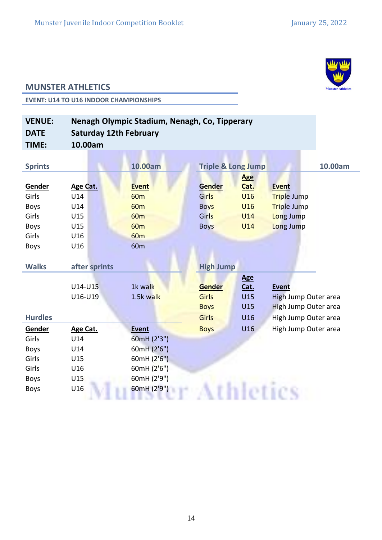

#### **MUNSTER ATHLETICS**

**EVENT: U14 TO U16 INDOOR CHAMPIONSHIPS**

| <b>VENUE:</b><br><b>DATE</b> | Nenagh Olympic Stadium, Nenagh, Co, Tipperary<br><b>Saturday 12th February</b> |                 |                               |            |                      |         |  |
|------------------------------|--------------------------------------------------------------------------------|-----------------|-------------------------------|------------|----------------------|---------|--|
| TIME:                        | 10.00am                                                                        |                 |                               |            |                      |         |  |
|                              |                                                                                |                 |                               |            |                      |         |  |
| <b>Sprints</b>               |                                                                                | 10.00am         | <b>Triple &amp; Long Jump</b> |            |                      | 10.00am |  |
|                              |                                                                                |                 |                               | <b>Age</b> |                      |         |  |
| Gender                       | <b>Age Cat.</b>                                                                | <b>Event</b>    | <b>Gender</b>                 | Cat.       | <b>Event</b>         |         |  |
| Girls                        | U14                                                                            | 60 <sub>m</sub> | Girls                         | U16        | <b>Triple Jump</b>   |         |  |
| <b>Boys</b>                  | U14                                                                            | 60 <sub>m</sub> | <b>Boys</b>                   | U16        | <b>Triple Jump</b>   |         |  |
| Girls                        | U15                                                                            | 60 <sub>m</sub> | Girls                         | U14        | Long Jump            |         |  |
| <b>Boys</b>                  | U15                                                                            | 60 <sub>m</sub> | <b>Boys</b>                   | U14        | Long Jump            |         |  |
| Girls                        | U16                                                                            | <b>60m</b>      |                               |            |                      |         |  |
| <b>Boys</b>                  | U16                                                                            | 60 <sub>m</sub> |                               |            |                      |         |  |
|                              |                                                                                |                 |                               |            |                      |         |  |
| <b>Walks</b>                 | after sprints                                                                  |                 | <b>High Jump</b>              |            |                      |         |  |
|                              |                                                                                |                 |                               | <b>Age</b> |                      |         |  |
|                              | U14-U15                                                                        | 1k walk         | Gender                        | Cat.       | <b>Event</b>         |         |  |
|                              | U16-U19                                                                        | 1.5k walk       | <b>Girls</b>                  | U15        | High Jump Outer area |         |  |
|                              |                                                                                |                 | <b>Boys</b>                   | <b>U15</b> | High Jump Outer area |         |  |
| <b>Hurdles</b>               |                                                                                |                 | Girls                         | U16        | High Jump Outer area |         |  |
| Gender                       | Age Cat.                                                                       | <b>Event</b>    | <b>Boys</b>                   | U16        | High Jump Outer area |         |  |
| Girls                        | U14                                                                            | 60mH (2'3")     |                               |            |                      |         |  |
| <b>Boys</b>                  | U14                                                                            | 60mH (2'6")     |                               |            |                      |         |  |
| Girls                        | U15                                                                            | 60mH (2'6")     |                               |            |                      |         |  |
| Girls                        | U16                                                                            | 60mH (2'6")     |                               |            |                      |         |  |
| <b>Boys</b>                  | U15                                                                            | 60mH (2'9")     |                               |            |                      |         |  |
| <b>Boys</b>                  | U16                                                                            | 60mH (2'9")     |                               |            |                      |         |  |
|                              |                                                                                |                 |                               |            |                      |         |  |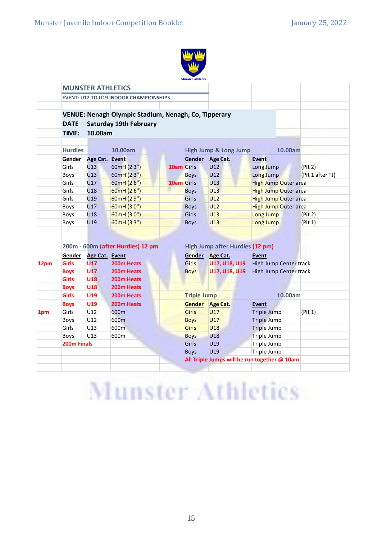

|      |                | <b>MUNSTER ATHLETICS</b> |                                               |                                                      |            |                    |                                              |                               |                               |                  |  |
|------|----------------|--------------------------|-----------------------------------------------|------------------------------------------------------|------------|--------------------|----------------------------------------------|-------------------------------|-------------------------------|------------------|--|
|      |                |                          | <b>EVENT: U12 TO U19 INDOOR CHAMPIONSHIPS</b> |                                                      |            |                    |                                              |                               |                               |                  |  |
|      |                |                          |                                               |                                                      |            |                    |                                              |                               |                               |                  |  |
|      |                |                          |                                               | VENUE: Nenagh Olympic Stadium, Nenagh, Co, Tipperary |            |                    |                                              |                               |                               |                  |  |
|      | <b>DATE</b>    |                          | <b>Saturday 19th February</b>                 |                                                      |            |                    |                                              |                               |                               |                  |  |
|      | TIME:          | 10.00am                  |                                               |                                                      |            |                    |                                              |                               |                               |                  |  |
|      |                |                          |                                               |                                                      |            |                    |                                              |                               |                               |                  |  |
|      | <b>Hurdles</b> |                          | 10.00am                                       |                                                      |            |                    | <b>High Jump &amp; Long Jump</b>             |                               | 10.00am                       |                  |  |
|      | Gender         | <b>Age Cat. Event</b>    |                                               |                                                      |            |                    | Gender Age Cat.                              | <b>Event</b>                  |                               |                  |  |
|      | Girls          | U13                      | 60mH (2'3")                                   |                                                      | 10am Girls |                    | <b>U12</b>                                   | Long Jump                     |                               | (Pit 2)          |  |
|      | Boys           | U13                      | 60mH (2'3")                                   |                                                      |            | <b>Boys</b>        | U12                                          | Long Jump                     |                               | (Pit 1 after TJ) |  |
|      | Girls          | U17                      | 60mH (2'6")                                   |                                                      | 10am Girls |                    | U13                                          |                               | <b>High Jump Outer area</b>   |                  |  |
|      | Girls          | U18                      | 60mH (2'6")                                   |                                                      |            | <b>Boys</b>        | U13                                          |                               | <b>High Jump Outer area</b>   |                  |  |
|      | Girls          | U19                      | 60mH (2'9")                                   |                                                      |            | <b>Girls</b>       | <b>U12</b>                                   |                               | <b>High Jump Outer area</b>   |                  |  |
|      | Boys           | U17                      | 60mH (3'0")                                   |                                                      |            | <b>Boys</b>        | U12                                          |                               | <b>High Jump Outer area</b>   |                  |  |
|      | Boys           | U18                      | 60mH (3'0")                                   |                                                      |            | <b>Girls</b>       | U13                                          | Long Jump                     |                               | (Pit 2)          |  |
|      | Boys           | U19                      | 60mH (3'3")                                   |                                                      |            | <b>Boys</b>        | U13                                          | Long Jump                     |                               | (Pit 1)          |  |
|      |                |                          |                                               |                                                      |            |                    |                                              |                               |                               |                  |  |
|      |                |                          |                                               |                                                      |            |                    |                                              |                               |                               |                  |  |
|      |                |                          | 200m - 600m (after Hurdles) 12 pm             |                                                      |            |                    | High Jump after Hurdles (12 pm)              |                               |                               |                  |  |
|      | Gender         | Age Cat. Event           |                                               |                                                      |            |                    | Gender Age Cat.                              | <b>Event</b>                  |                               |                  |  |
| 12pm | <b>Girls</b>   | U17                      | 200m Heats                                    |                                                      |            | Girls              | <b>U17, U18, U19</b>                         |                               | <b>High Jump Center track</b> |                  |  |
|      | <b>Boys</b>    | <b>U17</b>               | 200m Heats                                    |                                                      |            | <b>Boys</b>        | <b>U17, U18, U19</b>                         | <b>High Jump Center track</b> |                               |                  |  |
|      | Girls          | <b>U18</b>               | 200 <sub>m</sub> Heats                        |                                                      |            |                    |                                              |                               |                               |                  |  |
|      | <b>Boys</b>    | <b>U18</b>               | 200m Heats                                    |                                                      |            |                    |                                              |                               |                               |                  |  |
|      | <b>Girls</b>   | <b>U19</b>               | 200m Heats                                    |                                                      |            | <b>Triple Jump</b> |                                              |                               | 10.00am                       |                  |  |
|      | <b>Boys</b>    | <b>U19</b>               | 200m Heats                                    |                                                      |            | <b>Gender</b>      | Age Cat.                                     | <b>Event</b>                  |                               |                  |  |
| 1pm  | Girls          | U12                      | 600m                                          |                                                      |            | <b>Girls</b>       | U17                                          | <b>Triple Jump</b>            |                               | (Pit 1)          |  |
|      | Boys           | U12                      | 600m                                          |                                                      |            | <b>Boys</b>        | U17                                          | <b>Triple Jump</b>            |                               |                  |  |
|      | Girls          | U13                      | 600m                                          |                                                      |            | <b>Girls</b>       | U18                                          | <b>Triple Jump</b>            |                               |                  |  |
|      | Boys           | U13                      | 600m                                          |                                                      |            | <b>Boys</b>        | U18                                          | <b>Triple Jump</b>            |                               |                  |  |
|      | 200m Finals    |                          |                                               |                                                      |            | Girls              | U19                                          | Triple Jump                   |                               |                  |  |
|      |                |                          |                                               |                                                      |            | <b>Boys</b>        | U19                                          | Triple Jump                   |                               |                  |  |
|      |                |                          |                                               |                                                      |            |                    | All Triple Jumps will be run together @ 10am |                               |                               |                  |  |
|      |                |                          |                                               |                                                      |            |                    |                                              |                               |                               |                  |  |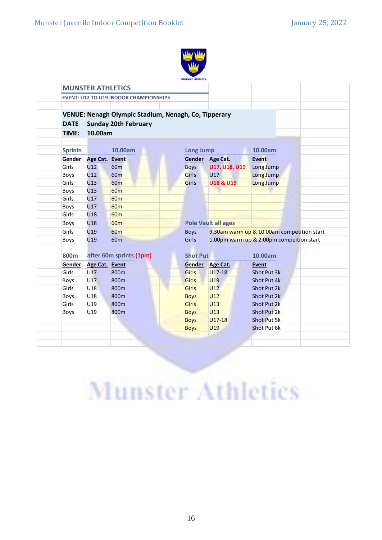

|                | <b>MUNSTER ATHLETICS</b> |                                                      |                  |                            |                                            |
|----------------|--------------------------|------------------------------------------------------|------------------|----------------------------|--------------------------------------------|
|                |                          | <b>EVENT: U12 TO U19 INDOOR CHAMPIONSHIPS</b>        |                  |                            |                                            |
|                |                          | VENUE: Nenagh Olympic Stadium, Nenagh, Co, Tipperary |                  |                            |                                            |
| <b>DATE</b>    |                          | <b>Sunday 20th February</b>                          |                  |                            |                                            |
| TIME:          | 10.00am                  |                                                      |                  |                            |                                            |
|                |                          |                                                      |                  |                            |                                            |
| <b>Sprints</b> |                          | 10.00am                                              | <b>Long Jump</b> |                            | 10.00am                                    |
| Gender         | <b>Age Cat.</b>          | <b>Event</b>                                         | Gender           | <b>Age Cat.</b>            | <b>Event</b>                               |
| Girls          | U12                      | 60 <sub>m</sub>                                      | <b>Boys</b>      | <b>U17, U18, U19</b>       | Long Jump                                  |
| Boys           | U12                      | 60 <sub>m</sub>                                      | <b>Girls</b>     | U17                        | Long Jump                                  |
| Girls          | U13                      | <b>60m</b>                                           | <b>Girls</b>     | U18 & U19                  | Long Jump                                  |
| <b>Boys</b>    | U13                      | <b>60m</b>                                           |                  |                            |                                            |
| Girls          | U17                      | <b>60m</b>                                           |                  |                            |                                            |
| Boys           | U17                      | 60 <sub>m</sub>                                      |                  |                            |                                            |
| Girls          | U18                      | <b>60m</b>                                           |                  |                            |                                            |
| Boys           | U18                      | <b>60m</b>                                           |                  | <b>Pole Vault all ages</b> |                                            |
| Girls          | U19                      | <b>60m</b>                                           | <b>Boys</b>      |                            | 9.30am warm up & 10.00am competition start |
| <b>Boys</b>    | U19                      | 60 <sub>m</sub>                                      | Girls            |                            | 1.00pm warm up & 2.00pm compeition start   |
|                |                          |                                                      |                  |                            |                                            |
| 800m           |                          | after 60m sprints (1pm)                              | <b>Shot Put</b>  |                            | 10.00am                                    |
| Gender         | Age Cat. Event           |                                                      | <b>Gender</b>    | Age Cat.                   | <b>Event</b>                               |
| Girls          | U17                      | 800m                                                 | <b>Girls</b>     | $U17-18$                   | Shot Put 3k                                |
| Boys           | U17                      | 800m                                                 | <b>Girls</b>     | U <sub>19</sub>            | Shot Put 4k                                |
| Girls          | U18                      | 800m                                                 | <b>Girls</b>     | U12                        | Shot Put 2k                                |
| Boys           | U18                      | 800m                                                 | <b>Boys</b>      | U12                        | Shot Put 2k                                |
| Girls          | U19                      | 800m                                                 | <b>Girls</b>     | U13                        | <b>Shot Put 2k</b>                         |
| Boys           | U19                      | 800m                                                 | <b>Boys</b>      | U <sub>13</sub>            | Shot Put 2k                                |
|                |                          |                                                      | <b>Boys</b>      | $U17-18$                   | <b>Shot Put 5k</b>                         |
|                |                          |                                                      | <b>Boys</b>      | U19                        | Shot Put 6k                                |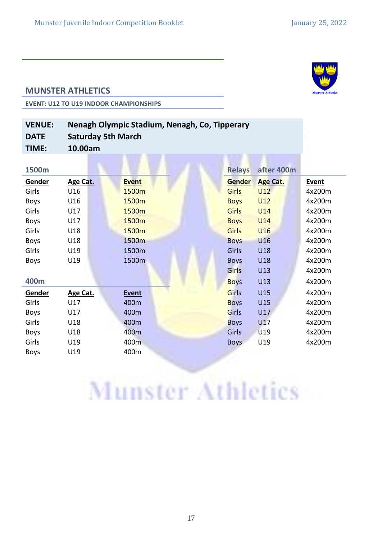

#### **MUNSTER ATHLETICS**

**EVENT: U12 TO U19 INDOOR CHAMPIONSHIPS**

| <b>VENUE:</b> | Nenagh Olympic Stadium, Nenagh, Co, Tipperary |
|---------------|-----------------------------------------------|
| <b>DATE</b>   | <b>Saturday 5th March</b>                     |
| TIME:         | 10.00am                                       |

| 1500m       |          |              | <b>Relays</b> | after 400m      |              |
|-------------|----------|--------------|---------------|-----------------|--------------|
| Gender      | Age Cat. | <b>Event</b> | Gender        | <b>Age Cat.</b> | <b>Event</b> |
| Girls       | U16      | 1500m        | Girls         | U12             | 4x200m       |
| <b>Boys</b> | U16      | 1500m        | <b>Boys</b>   | U12             | 4x200m       |
| Girls       | U17      | 1500m        | Girls         | U14             | 4x200m       |
| <b>Boys</b> | U17      | 1500m        | <b>Boys</b>   | U14             | 4x200m       |
| Girls       | U18      | 1500m        | Girls         | U16             | 4x200m       |
| <b>Boys</b> | U18      | 1500m        | <b>Boys</b>   | U16             | 4x200m       |
| Girls       | U19      | 1500m        | Girls         | U18             | 4x200m       |
| <b>Boys</b> | U19      | 1500m        | <b>Boys</b>   | U18             | 4x200m       |
|             |          |              | Girls         | U13             | 4x200m       |
| 400m        |          |              | <b>Boys</b>   | U13             | 4x200m       |
| Gender      | Age Cat. | <b>Event</b> | Girls         | <b>U15</b>      | 4x200m       |
| Girls       | U17      | 400m         | <b>Boys</b>   | <b>U15</b>      | 4x200m       |
| <b>Boys</b> | U17      | 400m         | Girls         | U17             | 4x200m       |
| Girls       | U18      | 400m         | <b>Boys</b>   | U17             | 4x200m       |
| <b>Boys</b> | U18      | 400m         | Girls         | U19             | 4x200m       |
| Girls       | U19      | 400m         | <b>Boys</b>   | U19             | 4x200m       |
| <b>Boys</b> | U19      | 400m         |               |                 |              |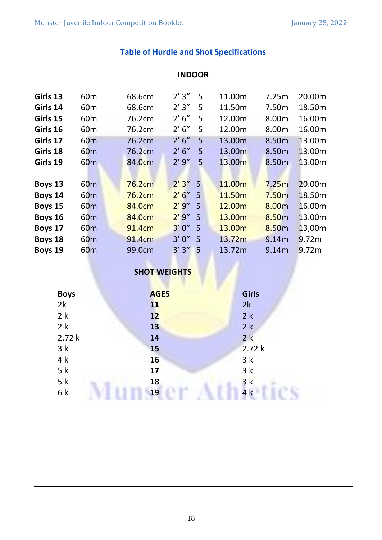|          |                 |                    | <b>INDOOR</b> |   |        |                   |        |
|----------|-----------------|--------------------|---------------|---|--------|-------------------|--------|
| Girls 13 | 60 <sub>m</sub> | 68.6cm             | 2'3''         | 5 | 11.00m | 7.25m             | 20.00m |
| Girls 14 | 60 <sub>m</sub> | 68.6cm             | 2'3''         | 5 | 11.50m | 7.50m             | 18.50m |
| Girls 15 | 60 <sub>m</sub> | 76.2cm             | 2' 6''        | 5 | 12.00m | 8.00m             | 16.00m |
| Girls 16 | 60 <sub>m</sub> | 76.2cm             | 2' 6''        | 5 | 12.00m | 8.00m             | 16.00m |
| Girls 17 | 60 <sub>m</sub> | 76.2cm             | 2' 6''        | 5 | 13.00m | 8.50m             | 13.00m |
| Girls 18 | 60 <sub>m</sub> | 76.2cm             | 2' 6''        | 5 | 13.00m | 8.50m             | 13.00m |
| Girls 19 | 60 <sub>m</sub> | 84.0 <sub>cm</sub> | 2'9''         | 5 | 13.00m | 8.50m             | 13.00m |
|          |                 |                    |               |   |        |                   |        |
| Boys 13  | 60 <sub>m</sub> | 76.2cm             | 2'3''         | 5 | 11.00m | 7.25m             | 20.00m |
| Boys 14  | 60 <sub>m</sub> | 76.2cm             | 2'6''         | 5 | 11.50m | 7.50 <sub>m</sub> | 18.50m |
| Boys 15  | 60 <sub>m</sub> | 84.0cm             | 2'9''         | 5 | 12.00m | 8.00m             | 16.00m |
| Boys 16  | 60 <sub>m</sub> | 84.0cm             | 2'9''         | 5 | 13.00m | 8.50m             | 13.00m |
| Boys 17  | 60 <sub>m</sub> | 91.4cm             | 3'0''         | 5 | 13.00m | 8.50m             | 13,00m |
| Boys 18  | 60 <sub>m</sub> | 91.4 <sub>cm</sub> | 3'0''         | 5 | 13.72m | 9.14m             | 9.72m  |
| Boys 19  | 60 <sub>m</sub> | 99.0cm             | 3'3''         | 5 | 13.72m | 9.14m             | 9.72m  |

#### **Table of Hurdle and Shot Specifications**

### **SHOT WEIGHTS**

| <b>Boys</b> | <b>AGES</b> | <b>Girls</b> |
|-------------|-------------|--------------|
| 2k          | 11          | 2k           |
| 2k          | 12          | 2k           |
| 2k          | 13          | 2k           |
| 2.72k       | 14          | 2k           |
| 3k          | 15          | 2.72k        |
| 4k          | 16          | 3k           |
| 5k          | 17          | 3k           |
| 5k          | 18          | 3k           |
| 6k          | 19          | 4k           |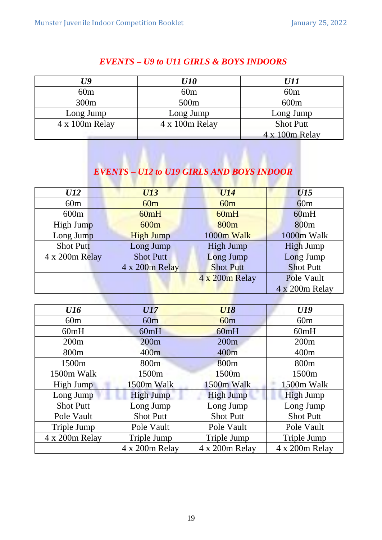| U9             | <i><b>U10</b></i> | <i>U11</i>       |
|----------------|-------------------|------------------|
| 60m            | 60m               | 60m              |
| 300m           | 500 <sub>m</sub>  | 600m             |
| Long Jump      | Long Jump         | Long Jump        |
| 4 x 100m Relay | 4 x 100m Relay    | <b>Shot Putt</b> |
|                |                   | 4 x 100m Relay   |

#### *EVENTS – U9 to U11 GIRLS & BOYS INDOORS*

#### *EVENTS – U12 to U19 GIRLS AND BOYS INDOOR*

| U12              | <b>U13</b>       | <b>U14</b>       | <b>U15</b>       |
|------------------|------------------|------------------|------------------|
| 60m              | 60m              | 60m              | 60m              |
| 600m             | 60mH             | 60mH             | 60mH             |
| High Jump        | 600m             | 800 <sub>m</sub> | 800 <sub>m</sub> |
| Long Jump        | <b>High Jump</b> | 1000m Walk       | 1000m Walk       |
| <b>Shot Putt</b> | Long Jump        | <b>High Jump</b> | <b>High Jump</b> |
| 4 x 200m Relay   | <b>Shot Putt</b> | Long Jump        | Long Jump        |
|                  | 4 x 200m Relay   | <b>Shot Putt</b> | <b>Shot Putt</b> |
|                  |                  | 4 x 200m Relay   | Pole Vault       |
|                  |                  |                  | 4 x 200m Relay   |

| <b>U16</b>       | <b>U17</b>       | <b>U18</b>        | U19              |
|------------------|------------------|-------------------|------------------|
| 60m              | 60m              | 60m               | 60m              |
| 60mH             | 60mH             | 60mH              | 60mH             |
| 200m             | 200m             | 200m              | 200m             |
| 800m             | 400m             | 400 <sub>m</sub>  | 400m             |
| 1500m            | 800 <sub>m</sub> | 800 <sub>m</sub>  | 800 <sub>m</sub> |
| 1500m Walk       | 1500m            | 1500 <sub>m</sub> | 1500m            |
| High Jump        | 1500m Walk       | 1500m Walk        | 1500m Walk       |
| Long Jump        | <b>High Jump</b> | <b>High Jump</b>  | <b>High Jump</b> |
| <b>Shot Putt</b> | Long Jump        | Long Jump         | Long Jump        |
| Pole Vault       | <b>Shot Putt</b> | <b>Shot Putt</b>  | <b>Shot Putt</b> |
| Triple Jump      | Pole Vault       | Pole Vault        | Pole Vault       |
| 4 x 200m Relay   | Triple Jump      | Triple Jump       | Triple Jump      |
|                  | 4 x 200m Relay   | 4 x 200m Relay    | 4 x 200m Relay   |